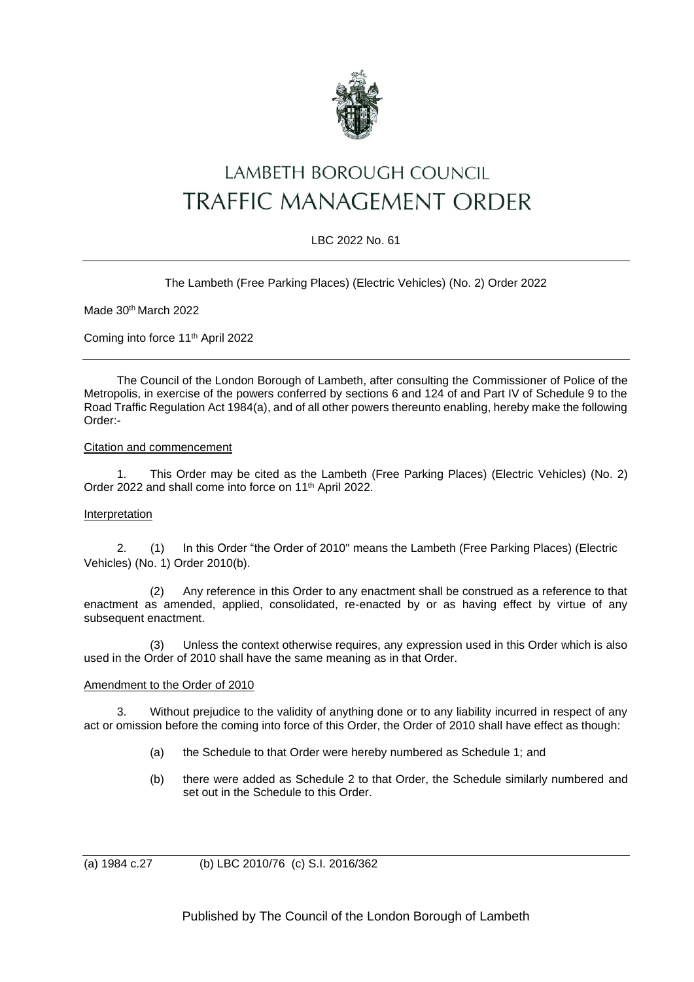

# LAMBETH BOROUGH COUNCIL TRAFFIC MANAGEMENT ORDER

# LBC 2022 No. 61

## The Lambeth (Free Parking Places) (Electric Vehicles) (No. 2) Order 2022

Made 30th March 2022

Coming into force 11th April 2022

The Council of the London Borough of Lambeth, after consulting the Commissioner of Police of the Metropolis, in exercise of the powers conferred by sections 6 and 124 of and Part IV of Schedule 9 to the Road Traffic Regulation Act 1984(a), and of all other powers thereunto enabling, hereby make the following Order:-

#### Citation and commencement

1. This Order may be cited as the Lambeth (Free Parking Places) (Electric Vehicles) (No. 2) Order 2022 and shall come into force on 11<sup>th</sup> April 2022.

#### Interpretation

2. (1) In this Order "the Order of 2010" means the Lambeth (Free Parking Places) (Electric Vehicles) (No. 1) Order 2010(b).

(2) Any reference in this Order to any enactment shall be construed as a reference to that enactment as amended, applied, consolidated, re-enacted by or as having effect by virtue of any subsequent enactment.

(3) Unless the context otherwise requires, any expression used in this Order which is also used in the Order of 2010 shall have the same meaning as in that Order.

#### Amendment to the Order of 2010

3. Without prejudice to the validity of anything done or to any liability incurred in respect of any act or omission before the coming into force of this Order, the Order of 2010 shall have effect as though:

- (a) the Schedule to that Order were hereby numbered as Schedule 1; and
- (b) there were added as Schedule 2 to that Order, the Schedule similarly numbered and set out in the Schedule to this Order.

(a) 1984 c.27 (b) LBC 2010/76 (c) S.I. 2016/362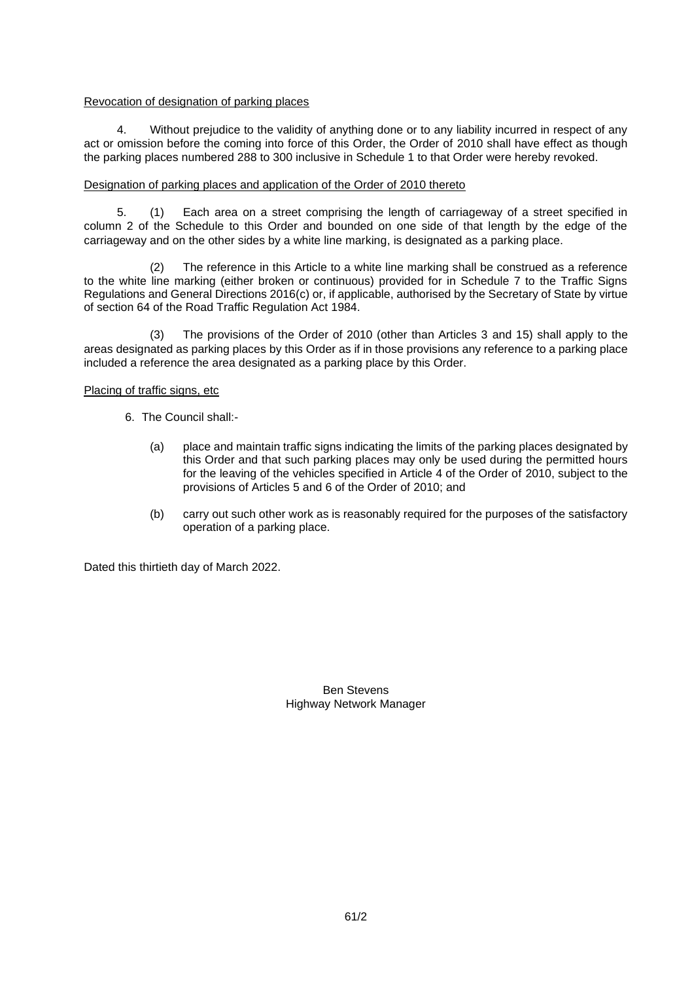## Revocation of designation of parking places

4. Without prejudice to the validity of anything done or to any liability incurred in respect of any act or omission before the coming into force of this Order, the Order of 2010 shall have effect as though the parking places numbered 288 to 300 inclusive in Schedule 1 to that Order were hereby revoked.

## Designation of parking places and application of the Order of 2010 thereto

5. (1) Each area on a street comprising the length of carriageway of a street specified in column 2 of the Schedule to this Order and bounded on one side of that length by the edge of the carriageway and on the other sides by a white line marking, is designated as a parking place.

(2) The reference in this Article to a white line marking shall be construed as a reference to the white line marking (either broken or continuous) provided for in Schedule 7 to the Traffic Signs Regulations and General Directions 2016(c) or, if applicable, authorised by the Secretary of State by virtue of section 64 of the Road Traffic Regulation Act 1984.

(3) The provisions of the Order of 2010 (other than Articles 3 and 15) shall apply to the areas designated as parking places by this Order as if in those provisions any reference to a parking place included a reference the area designated as a parking place by this Order.

#### Placing of traffic signs, etc

- 6. The Council shall:-
	- (a) place and maintain traffic signs indicating the limits of the parking places designated by this Order and that such parking places may only be used during the permitted hours for the leaving of the vehicles specified in Article 4 of the Order of 2010, subject to the provisions of Articles 5 and 6 of the Order of 2010; and
	- (b) carry out such other work as is reasonably required for the purposes of the satisfactory operation of a parking place.

Dated this thirtieth day of March 2022.

Ben Stevens Highway Network Manager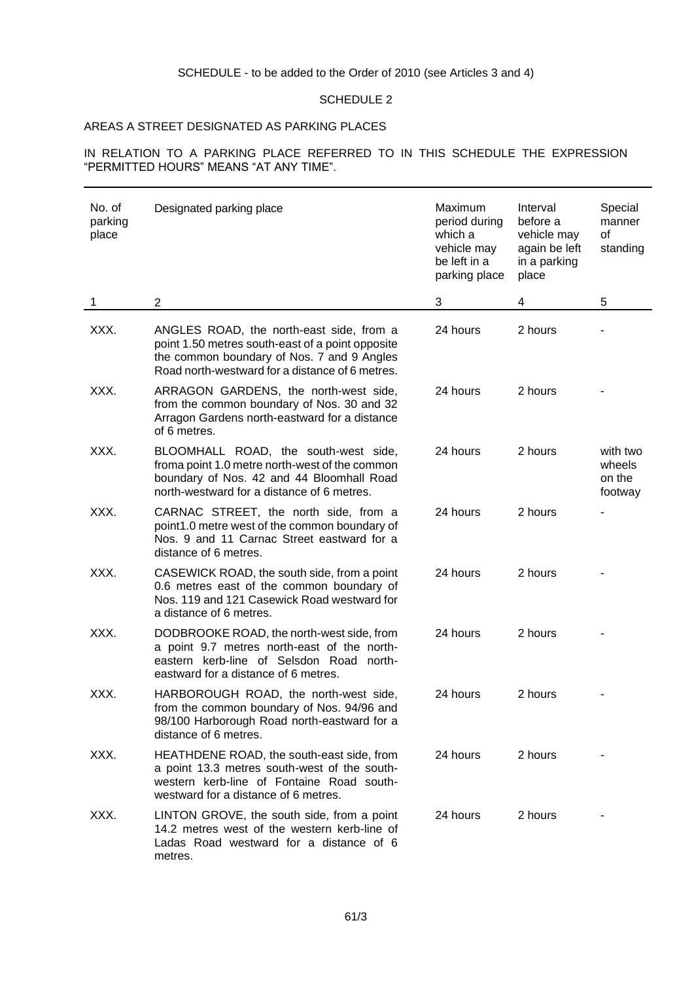## SCHEDULE - to be added to the Order of 2010 (see Articles 3 and 4)

## SCHEDULE 2

# AREAS A STREET DESIGNATED AS PARKING PLACES

IN RELATION TO A PARKING PLACE REFERRED TO IN THIS SCHEDULE THE EXPRESSION "PERMITTED HOURS" MEANS "AT ANY TIME".

| No. of<br>parking<br>place | Designated parking place                                                                                                                                                                      | Maximum<br>period during<br>which a<br>vehicle may<br>be left in a<br>parking place | Interval<br>before a<br>vehicle may<br>again be left<br>in a parking<br>place | Special<br>manner<br>of<br>standing     |
|----------------------------|-----------------------------------------------------------------------------------------------------------------------------------------------------------------------------------------------|-------------------------------------------------------------------------------------|-------------------------------------------------------------------------------|-----------------------------------------|
| 1                          | $\overline{2}$                                                                                                                                                                                | 3                                                                                   | 4                                                                             | 5                                       |
| XXX.                       | ANGLES ROAD, the north-east side, from a<br>point 1.50 metres south-east of a point opposite<br>the common boundary of Nos. 7 and 9 Angles<br>Road north-westward for a distance of 6 metres. | 24 hours                                                                            | 2 hours                                                                       |                                         |
| XXX.                       | ARRAGON GARDENS, the north-west side,<br>from the common boundary of Nos. 30 and 32<br>Arragon Gardens north-eastward for a distance<br>of 6 metres.                                          | 24 hours                                                                            | 2 hours                                                                       |                                         |
| XXX.                       | BLOOMHALL ROAD, the south-west side,<br>froma point 1.0 metre north-west of the common<br>boundary of Nos. 42 and 44 Bloomhall Road<br>north-westward for a distance of 6 metres.             | 24 hours                                                                            | 2 hours                                                                       | with two<br>wheels<br>on the<br>footway |
| XXX.                       | CARNAC STREET, the north side, from a<br>point1.0 metre west of the common boundary of<br>Nos. 9 and 11 Carnac Street eastward for a<br>distance of 6 metres.                                 | 24 hours                                                                            | 2 hours                                                                       |                                         |
| XXX.                       | CASEWICK ROAD, the south side, from a point<br>0.6 metres east of the common boundary of<br>Nos. 119 and 121 Casewick Road westward for<br>a distance of 6 metres.                            | 24 hours                                                                            | 2 hours                                                                       |                                         |
| XXX.                       | DODBROOKE ROAD, the north-west side, from<br>a point 9.7 metres north-east of the north-<br>eastern kerb-line of Selsdon Road north-<br>eastward for a distance of 6 metres.                  | 24 hours                                                                            | 2 hours                                                                       |                                         |
| XXX.                       | HARBOROUGH ROAD, the north-west side,<br>from the common boundary of Nos. 94/96 and<br>98/100 Harborough Road north-eastward for a<br>distance of 6 metres.                                   | 24 hours                                                                            | 2 hours                                                                       |                                         |
| XXX.                       | HEATHDENE ROAD, the south-east side, from<br>a point 13.3 metres south-west of the south-<br>western kerb-line of Fontaine Road south-<br>westward for a distance of 6 metres.                | 24 hours                                                                            | 2 hours                                                                       |                                         |
| XXX.                       | LINTON GROVE, the south side, from a point<br>14.2 metres west of the western kerb-line of<br>Ladas Road westward for a distance of 6<br>metres.                                              | 24 hours                                                                            | 2 hours                                                                       |                                         |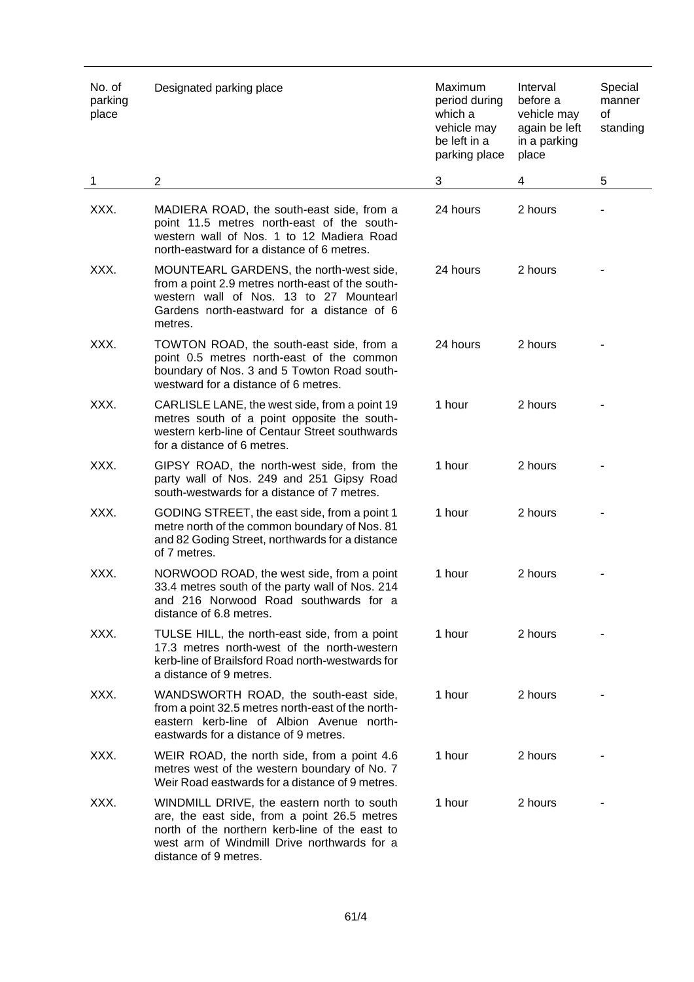| No. of<br>parking<br>place | Designated parking place                                                                                                                                                                                             | Maximum<br>period during<br>which a<br>vehicle may<br>be left in a<br>parking place | Interval<br>before a<br>vehicle may<br>again be left<br>in a parking<br>place | Special<br>manner<br>of<br>standing |
|----------------------------|----------------------------------------------------------------------------------------------------------------------------------------------------------------------------------------------------------------------|-------------------------------------------------------------------------------------|-------------------------------------------------------------------------------|-------------------------------------|
| 1                          | $\overline{2}$                                                                                                                                                                                                       | 3                                                                                   | 4                                                                             | 5                                   |
| XXX.                       | MADIERA ROAD, the south-east side, from a<br>point 11.5 metres north-east of the south-<br>western wall of Nos. 1 to 12 Madiera Road<br>north-eastward for a distance of 6 metres.                                   | 24 hours                                                                            | 2 hours                                                                       |                                     |
| XXX.                       | MOUNTEARL GARDENS, the north-west side,<br>from a point 2.9 metres north-east of the south-<br>western wall of Nos. 13 to 27 Mountearl<br>Gardens north-eastward for a distance of 6<br>metres.                      | 24 hours                                                                            | 2 hours                                                                       |                                     |
| XXX.                       | TOWTON ROAD, the south-east side, from a<br>point 0.5 metres north-east of the common<br>boundary of Nos. 3 and 5 Towton Road south-<br>westward for a distance of 6 metres.                                         | 24 hours                                                                            | 2 hours                                                                       |                                     |
| XXX.                       | CARLISLE LANE, the west side, from a point 19<br>metres south of a point opposite the south-<br>western kerb-line of Centaur Street southwards<br>for a distance of 6 metres.                                        | 1 hour                                                                              | 2 hours                                                                       |                                     |
| XXX.                       | GIPSY ROAD, the north-west side, from the<br>party wall of Nos. 249 and 251 Gipsy Road<br>south-westwards for a distance of 7 metres.                                                                                | 1 hour                                                                              | 2 hours                                                                       |                                     |
| XXX.                       | GODING STREET, the east side, from a point 1<br>metre north of the common boundary of Nos. 81<br>and 82 Goding Street, northwards for a distance<br>of 7 metres.                                                     | 1 hour                                                                              | 2 hours                                                                       |                                     |
| XXX.                       | NORWOOD ROAD, the west side, from a point<br>33.4 metres south of the party wall of Nos. 214<br>and 216 Norwood Road southwards for a<br>distance of 6.8 metres.                                                     | 1 hour                                                                              | 2 hours                                                                       |                                     |
| XXX.                       | TULSE HILL, the north-east side, from a point<br>17.3 metres north-west of the north-western<br>kerb-line of Brailsford Road north-westwards for<br>a distance of 9 metres.                                          | 1 hour                                                                              | 2 hours                                                                       |                                     |
| XXX.                       | WANDSWORTH ROAD, the south-east side,<br>from a point 32.5 metres north-east of the north-<br>eastern kerb-line of Albion Avenue north-<br>eastwards for a distance of 9 metres.                                     | 1 hour                                                                              | 2 hours                                                                       |                                     |
| XXX.                       | WEIR ROAD, the north side, from a point 4.6<br>metres west of the western boundary of No. 7<br>Weir Road eastwards for a distance of 9 metres.                                                                       | 1 hour                                                                              | 2 hours                                                                       |                                     |
| XXX.                       | WINDMILL DRIVE, the eastern north to south<br>are, the east side, from a point 26.5 metres<br>north of the northern kerb-line of the east to<br>west arm of Windmill Drive northwards for a<br>distance of 9 metres. | 1 hour                                                                              | 2 hours                                                                       |                                     |